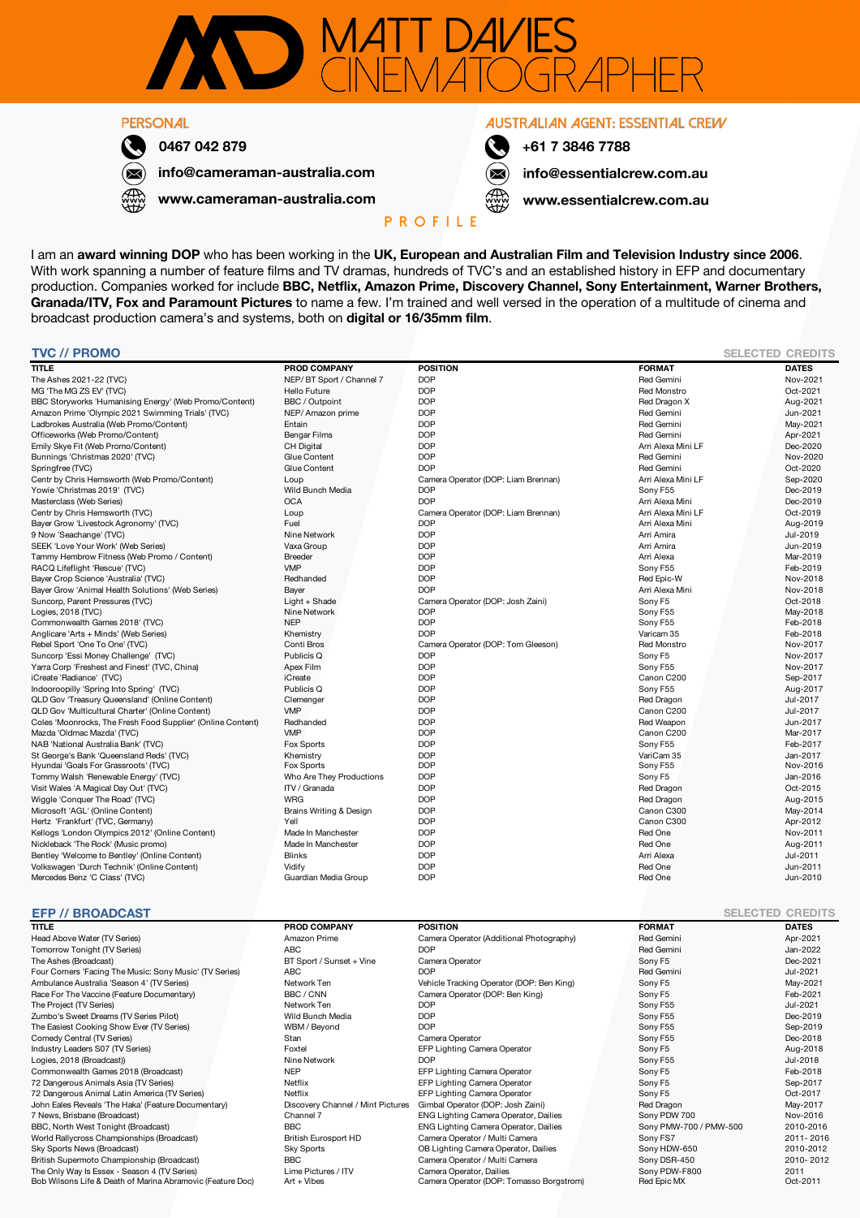

## **PERSONAL**



0467 042 879

www.cameraman-australia.com

info@cameraman-australia.com

**AUSTRALIAN AGENT: ESSENTIAL CREW** 



+61 7 3846 7788

info@essentialcrew.com.au

www.essentialcrew.com.au

## **P R O F I L E**

I am an **award winning DOP** who has been working in the **UK, European and Australian Film and Television Industry since 2006**. With work spanning a number of feature films and TV dramas, hundreds of TVC's and an established history in EFP and documentary production. Companies worked for include **BBC, Netflix, Amazon Prime, Discovery Channel, Sony Entertainment, Warner Brothers, Granada/ITV, Fox and Paramount Pictures** to name a few. I'm trained and well versed in the operation of a multitude of cinema and broadcast production camera's and systems, both on **digital or 16/35mm film**.

| <b>TVC // PROMO</b>                                                     |                            |                                                  |                        | <b>SELECTED CREDITS</b> |
|-------------------------------------------------------------------------|----------------------------|--------------------------------------------------|------------------------|-------------------------|
| <b>TITLE</b>                                                            | <b>PROD COMPANY</b>        | <b>POSITION</b>                                  | <b>FORMAT</b>          | <b>DATES</b>            |
| The Ashes 2021-22 (TVC)                                                 | NEP/BT Sport / Channel 7   | <b>DOP</b>                                       | <b>Red Gemini</b>      | Nov-2021                |
| MG 'The MG ZS EV' (TVC)                                                 | <b>Hello Future</b>        | <b>DOP</b>                                       | <b>Red Monstro</b>     | Oct-2021                |
| BBC Storyworks 'Humanising Energy' (Web Promo/Content)                  | BBC / Outpoint             | <b>DOP</b>                                       | Red Dragon X           | Aug-2021                |
| Amazon Prime 'Olympic 2021 Swimming Trials' (TVC)                       | NEP/ Amazon prime          | <b>DOP</b>                                       | Red Gemini             | Jun-2021                |
| Ladbrokes Australia (Web Promo/Content)                                 | Entain                     | <b>DOP</b>                                       | Red Gemini             | May-2021                |
| Officeworks (Web Promo/Content)                                         | Bengar Films               | <b>DOP</b>                                       | <b>Red Gemini</b>      | Apr-2021                |
| Emily Skye Fit (Web Promo/Content)                                      | <b>CH Digital</b>          | <b>DOP</b>                                       | Arri Alexa Mini LF     | Dec-2020                |
| Bunnings 'Christmas 2020' (TVC)                                         | Glue Content               | <b>DOP</b>                                       | <b>Red Gemini</b>      | Nov-2020                |
| Springfree (TVC)                                                        | Glue Content               | <b>DOP</b>                                       | <b>Red Gemini</b>      | Oct-2020                |
| Centr by Chris Hemsworth (Web Promo/Content)                            | Loup                       | Camera Operator (DOP: Liam Brennan)              | Arri Alexa Mini LF     | Sep-2020                |
| Yowie 'Christmas 2019' (TVC)                                            | Wild Bunch Media           | <b>DOP</b>                                       | Sony F55               | Dec-2019                |
| Masterclass (Web Series)                                                | <b>OCA</b>                 | <b>DOP</b>                                       | Arri Alexa Mini        | Dec-2019                |
| Centr by Chris Hemsworth (TVC)                                          | Loup                       | Camera Operator (DOP: Liam Brennan)              | Arri Alexa Mini LF     | Oct-2019                |
| Bayer Grow 'Livestock Agronomy' (TVC)                                   | Fuel                       | <b>DOP</b>                                       | Arri Alexa Mini        | Aug-2019                |
| 9 Now 'Seachange' (TVC)                                                 | Nine Network               | <b>DOP</b>                                       | Arri Amira             | Jul-2019                |
| SEEK 'Love Your Work' (Web Series)                                      | Vaxa Group                 | <b>DOP</b>                                       | Arri Amira             | Jun-2019                |
| Tammy Hembrow Fitness (Web Promo / Content)                             | <b>Breeder</b>             | <b>DOP</b>                                       | Arri Alexa             | Mar-2019                |
| RACQ Lifeflight 'Rescue' (TVC)                                          | <b>VMP</b>                 | <b>DOP</b>                                       | Sony F55               | Feb-2019                |
| Bayer Crop Science 'Australia' (TVC)                                    | Redhanded                  | <b>DOP</b>                                       | Red Epic-W             | Nov-2018                |
| Bayer Grow 'Animal Health Solutions' (Web Series)                       |                            | <b>DOP</b>                                       | Arri Alexa Mini        | Nov-2018                |
|                                                                         | Bayer                      |                                                  |                        | Oct-2018                |
| Suncorp, Parent Pressures (TVC)                                         | Light + Shade              | Camera Operator (DOP: Josh Zaini)<br><b>DOP</b>  | Sony F5                |                         |
| Logies, 2018 (TVC)                                                      | Nine Network<br><b>NEP</b> | <b>DOP</b>                                       | Sony F55               | May-2018<br>Feb-2018    |
| Commonwealth Games 2018' (TVC)<br>Anglicare 'Arts + Minds' (Web Series) |                            | <b>DOP</b>                                       | Sony F55<br>Varicam 35 | Feb-2018                |
|                                                                         | Khemistry                  |                                                  |                        |                         |
| Rebel Sport 'One To One' (TVC)                                          | Conti Bros                 | Camera Operator (DOP: Tom Gleeson)<br><b>DOP</b> | <b>Red Monstro</b>     | Nov-2017<br>Nov-2017    |
| Suncorp 'Essi Money Challenge' (TVC)                                    | Publicis Q                 | <b>DOP</b>                                       | Sony F5                |                         |
| Yarra Corp 'Freshest and Finest' (TVC, China)                           | Apex Film                  |                                                  | Sony F55               | Nov-2017                |
| iCreate 'Radiance' (TVC)                                                | iCreate                    | <b>DOP</b>                                       | Canon C200             | Sep-2017                |
| Indooroopilly 'Spring Into Spring' (TVC)                                | Publicis Q                 | <b>DOP</b>                                       | Sony F55               | Aug-2017                |
| QLD Gov 'Treasury Queensland' (Online Content)                          | Clemenger                  | <b>DOP</b>                                       | Red Dragon             | Jul-2017                |
| QLD Gov 'Multicultural Charter' (Online Content)                        | <b>VMP</b>                 | <b>DOP</b>                                       | Canon C200             | Jul-2017                |
| Coles 'Moonrocks, The Fresh Food Supplier' (Online Content)             | Redhanded                  | <b>DOP</b>                                       | Red Weapon             | Jun-2017                |
| Mazda 'Oldmac Mazda' (TVC)                                              | <b>VMP</b>                 | <b>DOP</b>                                       | Canon C200             | Mar-2017                |
| NAB 'National Australia Bank' (TVC)                                     | Fox Sports                 | <b>DOP</b>                                       | Sony F55               | Feb-2017                |
| St George's Bank 'Queensland Reds' (TVC)                                | Khemistry                  | <b>DOP</b>                                       | VariCam 35             | Jan-2017                |
| Hyundai 'Goals For Grassroots' (TVC)                                    | Fox Sports                 | <b>DOP</b>                                       | Sony F55               | Nov-2016                |
| Tommy Walsh 'Renewable Energy' (TVC)                                    | Who Are They Productions   | <b>DOP</b>                                       | Sony F5                | Jan-2016                |
| Visit Wales 'A Magical Day Out' (TVC)                                   | ITV / Granada              | <b>DOP</b>                                       | Red Dragon             | Oct-2015                |
| Wiggle 'Conquer The Road' (TVC)                                         | <b>WRG</b>                 | <b>DOP</b>                                       | Red Dragon             | Aug-2015                |
| Microsoft 'AGL' (Online Content)                                        | Brains Writing & Design    | <b>DOP</b>                                       | Canon C300             | May-2014                |
| Hertz 'Frankfurt' (TVC, Germany)                                        | Yell                       | <b>DOP</b>                                       | Canon C300             | Apr-2012                |
| Kellogs 'London Olympics 2012' (Online Content)                         | Made In Manchester         | <b>DOP</b>                                       | Red One                | Nov-2011                |
| Nickleback 'The Rock' (Music promo)                                     | Made In Manchester         | <b>DOP</b>                                       | Red One                | Aug-2011                |
| Bentley 'Welcome to Bentley' (Online Content)                           | <b>Blinks</b>              | <b>DOP</b>                                       | Arri Alexa             | Jul-2011                |
| Volkswagen 'Durch Technik' (Online Content)                             | Vidify                     | <b>DOP</b>                                       | Red One                | Jun-2011                |
| Mercedes Benz 'C Class' (TVC)                                           | Guardian Media Group       | <b>DOP</b>                                       | Red One                | Jun-2010                |
|                                                                         |                            |                                                  |                        |                         |

## **EFP // BROADCAST SELECTED CREDITS**

| <b>TITLE</b>                                               | <b>PROD COMPANY</b>               | <b>POSITION</b>                           | <b>FORMAT</b>          | <b>DATES</b> |
|------------------------------------------------------------|-----------------------------------|-------------------------------------------|------------------------|--------------|
| Head Above Water (TV Series)                               | Amazon Prime                      | Camera Operator (Additional Photography)  | Red Gemini             | Apr-2021     |
| Tomorrow Tonight (TV Series)                               | <b>ABC</b>                        | <b>DOP</b>                                | Red Gemini             | Jan-2022     |
| The Ashes (Broadcast)                                      | BT Sport / Sunset + Vine          | Camera Operator                           | Sony F5                | Dec-2021     |
| Four Corners 'Facing The Music: Sony Music' (TV Series)    | <b>ABC</b>                        | <b>DOP</b>                                | <b>Red Gemini</b>      | Jul-2021     |
| Ambulance Australia 'Season 4' (TV Series)                 | Network Ten                       | Vehicle Tracking Operator (DOP: Ben King) | Sony F5                | May-2021     |
| Race For The Vaccine (Feature Documentary)                 | BBC / CNN                         | Camera Operator (DOP: Ben King)           | Sony F5                | Feb-2021     |
| The Project (TV Series)                                    | Network Ten                       | <b>DOP</b>                                | Sony F55               | Jul-2021     |
| Zumbo's Sweet Dreams (TV Series Pilot)                     | Wild Bunch Media                  | <b>DOP</b>                                | Sony F55               | Dec-2019     |
| The Easiest Cooking Show Ever (TV Series)                  | WBM / Beyond                      | <b>DOP</b>                                | Sony F55               | Sep-2019     |
| Comedy Central (TV Series)                                 | Stan                              | Camera Operator                           | Sony F55               | Dec-2018     |
| Industry Leaders S07 (TV Series)                           | Foxtel                            | EFP Lighting Camera Operator              | Sony F5                | Aug-2018     |
| Logies, 2018 (Broadcast))                                  | Nine Network                      | <b>DOP</b>                                | Sony F55               | Jul-2018     |
| Commonwealth Games 2018 (Broadcast)                        | <b>NEP</b>                        | EFP Lighting Camera Operator              | Sony F5                | Feb-2018     |
| 72 Dangerous Animals Asia (TV Series)                      | Netflix                           | EFP Lighting Camera Operator              | Sony F5                | Sep-2017     |
| 72 Dangerous Animal Latin America (TV Series)              | Netflix                           | EFP Lighting Camera Operator              | Sony F5                | Oct-2017     |
| John Eales Reveals 'The Haka' (Feature Documentary)        | Discovery Channel / Mint Pictures | Gimbal Operator (DOP: Josh Zaini)         | Red Dragon             | May-2017     |
| 7 News, Brisbane (Broadcast)                               | Channel 7                         | ENG Lighting Camera Operator, Dailies     | Sony PDW 700           | Nov-2016     |
| BBC, North West Tonight (Broadcast)                        | <b>BBC</b>                        | ENG Lighting Camera Operator, Dailies     | Sony PMW-700 / PMW-500 | 2010-2016    |
| World Rallycross Championships (Broadcast)                 | <b>British Eurosport HD</b>       | Camera Operator / Multi Camera            | Sony FS7               | 2011-2016    |
| Sky Sports News (Broadcast)                                | Sky Sports                        | OB Lighting Camera Operator, Dailies      | Sony HDW-650           | 2010-2012    |
| British Supermoto Championship (Broadcast)                 | <b>BBC</b>                        | Camera Operator / Multi Camera            | Sony DSR-450           | 2010-2012    |
| The Only Way Is Essex - Season 4 (TV Series)               | Lime Pictures / ITV               | Camera Operator, Dailies                  | Sony PDW-F800          | 2011         |
| Bob Wilsons Life & Death of Marina Abramovic (Feature Doc) | $Art + Vibes$                     | Camera Operator (DOP: Tomasso Borgstrom)  | Red Epic MX            | Oct-2011     |